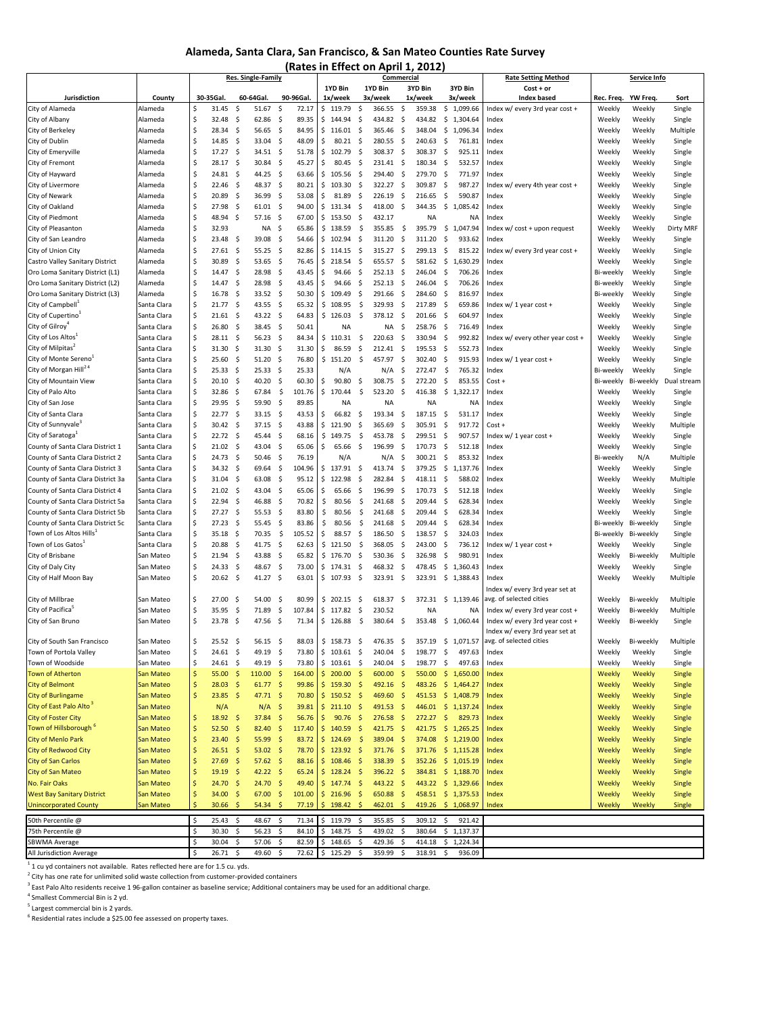#### **Alameda, Santa Clara, San Francisco, & San Mateo Counties Rate Survey**

| (Rates in Effect on April 1, 2012                                  |                            |                           |                  |                     |                |                     |                |     |                    |                    |                    |            |                    |                            |                    |                                                                  |                        |                  |                       |
|--------------------------------------------------------------------|----------------------------|---------------------------|------------------|---------------------|----------------|---------------------|----------------|-----|--------------------|--------------------|--------------------|------------|--------------------|----------------------------|--------------------|------------------------------------------------------------------|------------------------|------------------|-----------------------|
|                                                                    |                            | Res. Single-Family        |                  |                     |                | Commercial          |                |     |                    |                    |                    |            |                    | <b>Rate Setting Method</b> | Service Info       |                                                                  |                        |                  |                       |
| Jurisdiction                                                       | County                     |                           | 30-35Gal.        |                     | 60-64Gal.      |                     | 90-96Gal.      |     | 1YD Bin<br>1x/week |                    | 1YD Bin<br>3x/week |            | 3YD Bin<br>1x/week |                            | 3YD Bin<br>3x/week | $Cost + or$<br><b>Index based</b>                                | Rec. Freq.             | YW Freq.         | Sort                  |
| City of Alameda                                                    | Alameda                    | \$                        | 31.45            | \$                  | 51.67          | \$                  | 72.17          |     | \$119.79           | \$                 | 366.55             | \$         | 359.38             |                            | \$1,099.66         | Index w/ every 3rd year cost +                                   | Weekly                 | Weekly           | Single                |
| City of Albany                                                     | Alameda                    | \$                        | 32.48            | \$                  | 62.86          | -\$                 | 89.35          |     | \$144.94           | S.                 | 434.82             | \$         | 434.82             |                            | \$1,304.64         | Index                                                            | Weekly                 | Weekly           | Single                |
| City of Berkeley                                                   | Alameda                    | \$                        | 28.34            | -\$                 | 56.65          | -\$                 | 84.95          |     | \$116.01           | -\$                | 365.46             | -\$        | 348.04             | \$                         | 1.096.34           | Index                                                            | Weekly                 | Weekly           | Multiple              |
| City of Dublin                                                     | Alameda                    | \$                        | 14.85            | \$                  | 33.04          | \$                  | 48.09          | Ś   | 80.21              | S.                 | 280.55             | \$         | 240.63             | \$                         | 761.81             | Index                                                            | Weekly                 | Weekly           | Single                |
| City of Emeryville                                                 | Alameda                    | \$                        | 17.27            | \$                  | 34.51          | -\$                 | 51.78          |     | \$102.79           | \$                 | 308.37             | \$         | 308.37             | -\$                        | 925.11             | Index                                                            | Weekly                 | Weekly           | Single                |
| City of Fremont                                                    | Alameda                    | \$                        | 28.17            | -\$                 | 30.84          | - \$                | 45.27          | Ś   | 80.45              | -\$                | 231.41             | -\$        | 180.34             | -\$                        | 532.57             | Index                                                            | Weekly                 | Weekly           | Single                |
| City of Hayward                                                    | Alameda                    | \$                        | 24.81            | \$                  | 44.25          | -\$                 | 63.66          |     | \$105.56           | \$                 | 294.40             | \$         | 279.70             | -\$                        | 771.97             | Index                                                            | Weekly                 | Weekly           | Single                |
| City of Livermore                                                  | Alameda                    | \$                        | 22.46            | -\$                 | 48.37          | -\$                 | 80.21          | \$  | 103.30             | \$                 | 322.27             | -\$        | 309.87             | -\$                        | 987.27             | Index w/ every 4th year cost +                                   | Weekly                 | Weekly           | Single                |
| City of Newark                                                     | Alameda                    | \$                        | 20.89            | \$                  | 36.99          | -\$                 | 53.08          | \$  | 81.89              | S.                 | 226.19             | \$         | 216.65             | -\$                        | 590.87             | Index                                                            | Weekly                 | Weekly           | Single                |
| City of Oakland                                                    | Alameda                    | \$                        | 27.98            | \$                  | 61.01          | -\$                 | 94.00          |     | \$131.34           | -\$                | 418.00             | \$         | 344.35             | -\$                        | 1,085.42           | Index                                                            | Weekly                 | Weekly           | Single                |
| City of Piedmont                                                   | Alameda                    | \$                        | 48.94            | \$                  | $57.16$ \$     |                     | 67.00          |     | \$153.50           | \$                 | 432.17             |            | <b>NA</b>          |                            | <b>NA</b>          | Index                                                            | Weekly                 | Weekly           | Single                |
| City of Pleasanton                                                 | Alameda                    | \$                        | 32.93            |                     | NA             | -\$                 | 65.86          |     | \$138.59           | \$                 | 355.85             | \$         | 395.79             | \$                         | 1,047.94           | Index w/ cost + upon request                                     | Weekly                 | Weekly           | Dirty MRF             |
| City of San Leandro                                                | Alameda                    | \$                        | 23.48            | -\$                 | 39.08          | -\$                 | 54.66          |     | \$102.94           | S.                 | 311.20             | \$         | 311.20             | \$                         | 933.62             | Index                                                            | Weekly                 | Weekly           | Single                |
| City of Union City                                                 | Alameda                    | \$                        | 27.61            | \$                  | 55.25          | -\$                 | 82.86          |     | \$114.15           | -\$                | 315.27             | -\$        | 299.13 \$          |                            | 815.22             | Index w/ every 3rd year cost +                                   | Weekly                 | Weekly           | Single                |
| Castro Valley Sanitary District                                    | Alameda                    | \$                        | 30.89            | -\$                 | 53.65          | -\$                 | 76.45          | \$  | 218.54             | -\$                | 655.57             | -\$        | 581.62 \$          |                            | 1,630.29           | Index                                                            | Weekly                 | Weekly           | Single                |
| Oro Loma Sanitary District (L1)                                    | Alameda                    | \$                        | 14.47            | -\$                 | 28.98          | -\$                 | 43.45          | Ś   | 94.66              | \$                 | 252.13             | \$         | 246.04             | -\$                        | 706.26             | Index                                                            | Bi-weekly              | Weekly           | Single                |
| Oro Loma Sanitary District (L2)                                    | Alameda                    | \$                        | 14.47            | \$                  | 28.98          | \$                  | 43.45          | \$  | 94.66              | \$                 | 252.13             | -\$        | 246.04             | \$                         | 706.26             | Index                                                            | Bi-weekly              | Weekly           | Single                |
| Oro Loma Sanitary District (L3)                                    | Alameda                    | \$                        | 16.78            | \$                  | 33.52 \$       |                     | 50.30          |     | \$109.49           | -\$                | 291.66             | -\$        | 284.60             | -\$                        | 816.97             | Index                                                            | Bi-weekly              | Weekly           | Single                |
| City of Campbell <sup>+</sup>                                      | Santa Clara                | \$                        | 21.77            | -\$                 | 43.55          | -\$                 | 65.32          |     | \$108.95           | \$                 | 329.93             | \$         | 217.89             | -\$                        | 659.86             | Index w/ 1 year cost +                                           | Weekly                 | Weekly           | Single                |
| City of Cupertino <sup>1</sup>                                     | Santa Clara                | \$                        | 21.61            | \$                  | 43.22 \$       |                     | 64.83          |     | \$126.03           | $\ddot{\varsigma}$ | 378.12             | -\$        | 201.66             | -\$                        | 604.97             | Index                                                            | Weekly                 | Weekly           | Single                |
| City of Gilroy <sup>4</sup>                                        | Santa Clara                | \$                        | 26.80            | \$                  | 38.45          | - \$                | 50.41          |     | <b>NA</b>          |                    | <b>NA</b>          | \$         | 258.76 \$          |                            | 716.49             | Index                                                            | Weekly                 | Weekly           | Single                |
| City of Los Altos                                                  | Santa Clara                | \$                        | 28.11            | -\$                 | 56.23          | -\$                 | 84.34          |     | \$110.31           | -\$                | 220.63             | \$         | 330.94             | -\$                        | 992.82             | Index w/ every other year cost +                                 | Weekly                 | Weekly           | Single                |
| City of Milpitas <sup>4</sup><br>City of Monte Sereno <sup>1</sup> | Santa Clara                | \$<br>\$                  | 31.30            | \$                  | 31.30          | -\$                 | 31.30          | Ś   | 86.59              | \$                 | 212.41             | \$         | 195.53             | \$                         | 552.73             | Index                                                            | Weekly                 | Weekly           | Single                |
| City of Morgan Hill <sup>24</sup>                                  | Santa Clara<br>Santa Clara | \$                        | 25.60<br>25.33   | \$<br>-\$           | 51.20<br>25.33 | \$<br>-\$           | 76.80<br>25.33 |     | \$151.20<br>N/A    | \$                 | 457.97<br>N/A      | \$<br>\$   | 302.40<br>272.47   | -\$<br>-Ŝ                  | 915.93<br>765.32   | Index w/ 1 year cost +<br>Index                                  | Weekly                 | Weekly<br>Weekly | Single                |
| City of Mountain View                                              | Santa Clara                | \$                        | 20.10            | \$                  | 40.20          | \$                  | 60.30          | \$. | 90.80              | \$                 | 308.75             | \$         | 272.20             | \$                         | 853.55             | Cost +                                                           | Bi-weekly<br>Bi-weekly | Bi-weekly        | Single<br>Dual stream |
| City of Palo Alto                                                  | Santa Clara                | \$                        | 32.86            | \$                  | 67.84          | \$                  | 101.76         |     | \$170.44           | \$                 | 523.20             | \$         | 416.38             | \$                         | 1,322.17           | Index                                                            | Weekly                 | Weekly           | Single                |
| City of San Jose                                                   | Santa Clara                | \$                        | 29.95            | \$                  | 59.90          | \$                  | 89.85          |     | <b>NA</b>          |                    | <b>NA</b>          |            | <b>NA</b>          |                            | <b>NA</b>          | Index                                                            | Weekly                 | Weekly           | Single                |
| City of Santa Clara                                                | Santa Clara                | \$                        | 22.77            | \$                  | 33.15          | \$                  | 43.53          | Ś   | 66.82              | -\$                | 193.34             | \$         | 187.15             | -\$                        | 531.17             | Index                                                            | Weekly                 | Weekly           | Single                |
| City of Sunnyvale                                                  | Santa Clara                | \$                        | 30.42            | \$                  | 37.15          | - \$                | 43.88          |     | \$121.90           | \$                 | 365.69             | \$         | 305.91             | -\$                        | 917.72             | Cost +                                                           | Weekly                 | Weekly           | Multiple              |
| City of Saratoga <sup>1</sup>                                      | Santa Clara                | \$                        | 22.72            | \$                  | 45.44          | \$                  | 68.16          |     | \$149.75           | \$                 | 453.78             | \$         | 299.51             | -\$                        | 907.57             | Index $w/1$ year cost +                                          | Weekly                 | Weekly           | Single                |
| County of Santa Clara District 1                                   | Santa Clara                | \$                        | 21.02            | -\$                 | 43.04          | -\$                 | 65.06          | \$  | 65.66              | -\$                | 196.99             | \$         | 170.73             | -\$                        | 512.18             | Index                                                            | Weekly                 | Weekly           | Single                |
| County of Santa Clara District 2                                   | Santa Clara                | \$                        | 24.73            | \$                  | 50.46          | -\$                 | 76.19          |     | N/A                |                    | N/A                | \$         | 300.21 \$          |                            | 853.32             | Index                                                            | Bi-weekly              | N/A              | Multiple              |
| County of Santa Clara District 3                                   | Santa Clara                | \$                        | 34.32            | -\$                 | 69.64          | - \$                | 104.96         |     | \$137.91           | -\$                | 413.74             | \$         | 379.25             | $\sim$                     | 1,137.76           | Index                                                            | Weekly                 | Weekly           | Single                |
| County of Santa Clara District 3a                                  | Santa Clara                | \$                        | 31.04            | -\$                 | 63.08          | \$                  | 95.12          |     | \$122.98           | Ŝ                  | 282.84             | \$         | 418.11 \$          |                            | 588.02             | Index                                                            | Weekly                 | Weekly           | Multiple              |
| County of Santa Clara District 4                                   | Santa Clara                | \$                        | 21.02            | \$                  | 43.04          | \$                  | 65.06          | \$  | 65.66              | \$                 | 196.99             | \$         | 170.73             | -\$                        | 512.18             | Index                                                            | Weekly                 | Weekly           | Single                |
| County of Santa Clara District 5a                                  | Santa Clara                | \$                        | 22.94            | \$                  | 46.88          | -\$                 | 70.82          | Ŝ   | 80.56              | \$                 | 241.68             | \$         | 209.44             | -\$                        | 628.34             | Index                                                            | Weekly                 | Weekly           | Single                |
| County of Santa Clara District 5b                                  | Santa Clara                | \$                        | 27.27            | \$                  | 55.53          | \$                  | 83.80          | \$  | 80.56              | \$                 | 241.68             | \$         | 209.44             | \$                         | 628.34             | Index                                                            | Weekly                 | Weekly           | Single                |
| County of Santa Clara District 5c                                  | Santa Clara                | \$                        | 27.23            | \$                  | 55.45          | -\$                 | 83.86          | \$  | 80.56              | $\ddot{\varsigma}$ | 241.68             | -\$        | 209.44             | -\$                        | 628.34             | Index                                                            | Bi-weekly              | Bi-weekly        | Single                |
| Town of Los Altos Hills                                            | Santa Clara                | \$                        | 35.18            | \$                  | 70.35          | \$                  | 105.52         | \$  | 88.57              | \$                 | 186.50             | -\$        | 138.57             | -\$                        | 324.03             | Index                                                            | Bi-weekly              | Bi-weekly        | Single                |
| Town of Los Gatos                                                  | Santa Clara                | \$                        | 20.88            | -\$                 | 41.75          | \$                  | 62.63          |     | \$121.50           | \$                 | 368.05             | -\$        | 243.00             | -\$                        | 736.12             | Index w/ 1 year cost +                                           | Weekly                 | Weekly           | Single                |
| City of Brisbane                                                   | San Mateo                  | \$                        | 21.94            | \$                  | 43.88          | \$                  | 65.82          |     | \$176.70           | \$                 | 530.36             | -\$        | 326.98             | \$                         | 980.91             | Index                                                            | Weekly                 | Bi-weekly        | Multiple              |
| City of Daly City                                                  | San Mateo                  | \$                        | 24.33            | \$                  | 48.67          | \$                  | 73.00          |     | \$174.31           | \$                 | 468.32             | -\$        | 478.45             | \$                         | 1,360.43           | Index                                                            | Weekly                 | Weekly           | Single                |
| City of Half Moon Bay                                              | San Mateo                  | $\hat{\mathsf{S}}$        | 20.62            | -\$                 | $41.27$ \$     |                     | 63.01          |     | \$107.93           | - \$               | 323.91             | - \$       |                    |                            | 323.91 \$ 1,388.43 | Index                                                            | Weekly                 | Weekly           | Multiple              |
|                                                                    |                            |                           |                  |                     |                |                     |                |     |                    |                    |                    |            |                    |                            |                    | Index w/ every 3rd year set at                                   |                        |                  |                       |
| City of Millbrae<br>City of Pacifica <sup>5</sup>                  | San Mateo                  | \$                        | 27.00            | \$                  | 54.00          | \$                  | 80.99          |     | \$202.15           | S.                 | 618.37             | -\$        | 372.31 \$          |                            | 1,139.46           | avg. of selected cities                                          | Weekly                 | Bi-weekly        | Multiple              |
|                                                                    | San Mateo                  | \$<br>\$                  | 35.95            | -\$                 | 71.89          | \$                  | 107.84         |     | \$117.82           | S.                 | 230.52             |            | <b>NA</b>          |                            | NA                 | Index w/ every 3rd year cost +                                   | Weekly                 | Bi-weekly        | Multiple              |
| City of San Bruno                                                  | San Mateo                  |                           | 23.78            | -\$                 | 47.56          | -\$                 | 71.34          |     | \$126.88           | \$                 | 380.64 \$          |            | 353.48             |                            | \$1,060.44         | Index w/ every 3rd year cost +<br>Index w/ every 3rd year set at | Weekly                 | Bi-weekly        | Single                |
| City of South San Francisco                                        | San Mateo                  | \$                        | $25.52 \quad$ \$ |                     | 56.15          | - \$                | 88.03          |     | \$158.73\$         |                    | 476.35             | Ş          |                    |                            | 357.19 \$ 1,071.57 | avg. of selected cities                                          | Weekly                 | Bi-weekly        | Multiple              |
| Town of Portola Valley                                             | San Mateo                  | \$                        | $24.61$ \$       |                     | 49.19          | - \$                | 73.80          |     | $$103.61$ \$       |                    | 240.04             | - \$       | 198.77             | \$                         | 497.63             | Index                                                            | Weekly                 | Weekly           | Single                |
| Town of Woodside                                                   | San Mateo                  | \$                        | $24.61$ \$       |                     | 49.19 \$       |                     | 73.80          |     | $$103.61$ \$       |                    | 240.04 \$          |            | 198.77             | \$                         | 497.63             | Index                                                            | Weekly                 | Weekly           | Single                |
| <b>Town of Atherton</b>                                            | San Mateo                  | $\boldsymbol{\mathsf{S}}$ | 55.00            | \$                  | $110.00$ \$    |                     | 164.00         |     | \$200.00           | - \$               | 600.00 \$          |            | 550.00             |                            | \$1,650.00         | Index                                                            | Weekly                 | Weekly           | Single                |
| <b>City of Belmont</b>                                             | San Mateo                  | \$                        | 28.03            | $\ddot{\mathsf{S}}$ | $61.77$ \$     |                     | 99.86          |     | \$159.30\$         |                    | $492.16$ \$        |            | 483.26             |                            | \$1,464.27         | Index                                                            | Weekly                 | Weekly           | Single                |
| <b>City of Burlingame</b>                                          | San Mateo                  | \$                        | 23.85            | -\$                 | $47.71$ \$     |                     | 70.80          |     | \$150.52\$         |                    | 469.60             | -\$        |                    |                            | 451.53 \$ 1,408.79 | Index                                                            | Weekly                 | Weekly           | Single                |
| City of East Palo Alto <sup>3</sup>                                | San Mateo                  |                           | N/A              |                     | $N/A$ \$       |                     | 39.81          |     | $$211.10$ \$       |                    | 491.53 \$          |            |                    |                            | 446.01 \$ 1,137.24 | Index                                                            | Weekly                 | Weekly           | Single                |
| <b>City of Foster City</b>                                         | San Mateo                  | \$                        | 18.92            | -\$                 | $37.84$ \$     |                     | 56.76          |     | \$90.76\$          |                    | 276.58             | -\$        | $272.27$ \$        |                            | 829.73             | Index                                                            | Weekly                 | Weekly           | Single                |
| Town of Hillsborough <sup>6</sup>                                  | San Mateo                  | \$                        | 52.50            | -\$                 | 82.40          | \$                  | 117.40         |     | \$140.59           | -\$                | 421.75             | \$         | 421.75             |                            | \$1,265.25         | Index                                                            | Weekly                 | Weekly           | Single                |
| <b>City of Menlo Park</b>                                          | San Mateo                  | \$                        | 23.40            | -\$                 | $55.99$ \$     |                     | 83.72          |     | \$124.69           | $\sqrt{2}$         | 389.04 \$          |            | 374.08             |                            | \$1,219.00         | Index                                                            | Weekly                 | Weekly           | Single                |
| <b>City of Redwood City</b>                                        | San Mateo                  | \$                        | $26.51$ \$       |                     | $53.02$ \$     |                     | 78.70          |     | \$123.92\$         |                    | 371.76             | -\$        |                    |                            | 371.76 \$ 1,115.28 | Index                                                            | Weekly                 | Weekly           | Single                |
| <b>City of San Carlos</b>                                          | San Mateo                  | \$                        | $27.69$ \$       |                     | $57.62$ \$     |                     | 88.16          |     | \$108.46\$         |                    | 338.39             | $\sqrt{5}$ |                    |                            | 352.26 \$ 1,015.19 | Index                                                            | Weekly                 | Weekly           | Single                |
| <b>City of San Mateo</b>                                           | San Mateo                  | \$                        | $19.19$ \$       |                     | $42.22$ \$     |                     | 65.24          |     | \$128.24\$         |                    | $396.22$ \$        |            |                    |                            | 384.81 \$ 1,188.70 | Index                                                            | Weekly                 | Weekly           | Single                |
| No. Fair Oaks                                                      | San Mateo                  | \$                        | 24.70%           |                     | 24.70%         |                     | 49.40          |     | \$147.74\$         |                    | 443.22 \$          |            |                    |                            | 443.22 \$ 1,329.66 | Index                                                            | Weekly                 | Weekly           | Single                |
| <b>West Bay Sanitary District</b>                                  | San Mateo                  | \$                        | 34.00            | -\$                 | 67.00 \$       |                     | 101.00         |     | \$216.96           | - \$               | 650.88 \$          |            |                    |                            | 458.51 \$ 1,375.53 | Index                                                            | Weekly                 | Weekly           | Single                |
| <b>Unincorporated County</b>                                       | San Mateo                  | $\frac{1}{2}$             | 30.66            | $\ddot{\mathsf{s}}$ | 54.34          | $\ddot{\mathsf{s}}$ | 77.19          |     | \$198.42           | -\$                | 462.01             | -\$        |                    |                            | 419.26 \$ 1,068.97 | Index                                                            | Weekly                 | Weekly           | Single                |
| 50th Percentile @                                                  |                            | \$                        | 25.43            | -\$                 | 48.67          | \$                  | 71.34          |     | \$119.79           | -\$                | 355.85             | -\$        | 309.12             | -\$                        | 921.42             |                                                                  |                        |                  |                       |
| 75th Percentile @                                                  |                            |                           | 30.30            | -\$                 | 56.23          | \$                  | 84.10          |     | \$148.75           | \$                 | 439.02             | -\$        | 380.64             |                            | \$1,137.37         |                                                                  |                        |                  |                       |
| <b>SBWMA Average</b>                                               |                            | \$                        | 30.04            | \$                  | 57.06          | \$                  | 82.59          |     | \$148.65           | \$                 | 429.36             | \$         | 414.18             |                            | \$1,224.34         |                                                                  |                        |                  |                       |
| All Jurisdiction Average                                           |                            |                           | $26.71$ \$       |                     | 49.60 \$       |                     | 72.62          |     | $$125.29$ \$       |                    | 359.99 \$          |            | 318.91 \$          |                            | 936.09             |                                                                  |                        |                  |                       |

All Jurisdiction Average<br>
1 cu yd containers not available. Rates reflected here are for 1.5 cu. yds.<br>
<sup>2</sup> City has one rate for unlimited solid waste collection from customer-provided containers<br>
<sup>3</sup> City has one rate for

East Fallest Commercial Bin is 2 yd.

<sup>5</sup> Largest commercial bin is 2 yards.

6 Residential rates include a \$25.00 fee assessed on property taxes.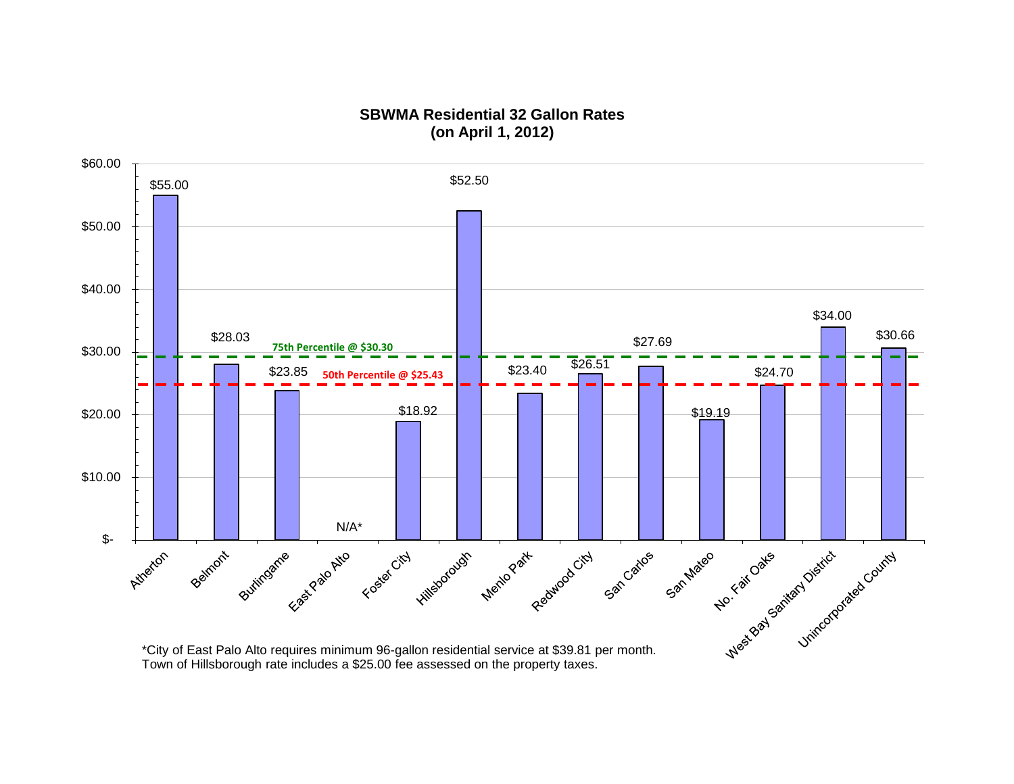#### **SBWMA Residential 32 Gallon Rates (on April 1, 2012)**

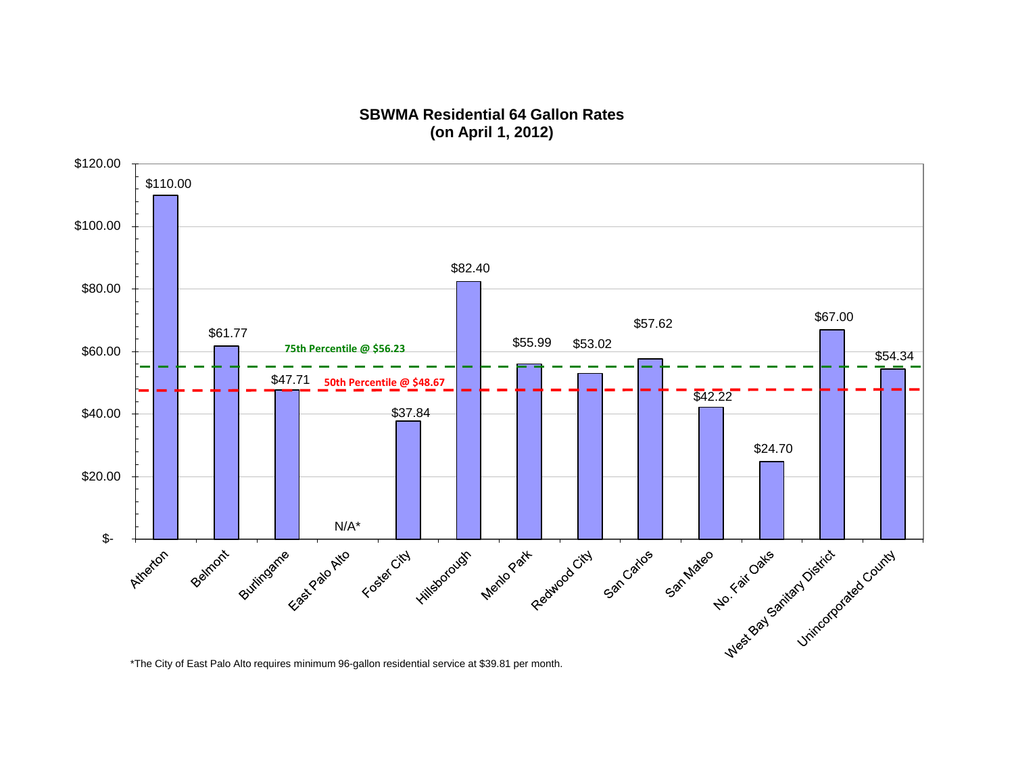## **SBWMA Residential 64 Gallon Rates (on April 1, 2012)**

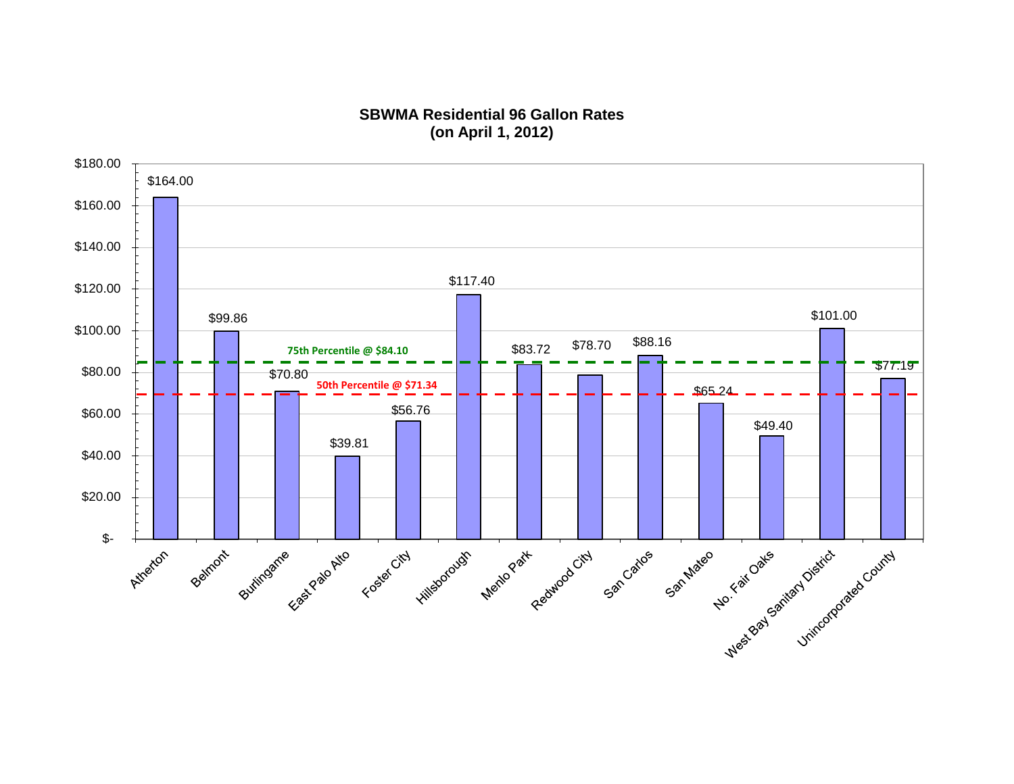## **SBWMA Residential 96 Gallon Rates (on April 1, 2012)**

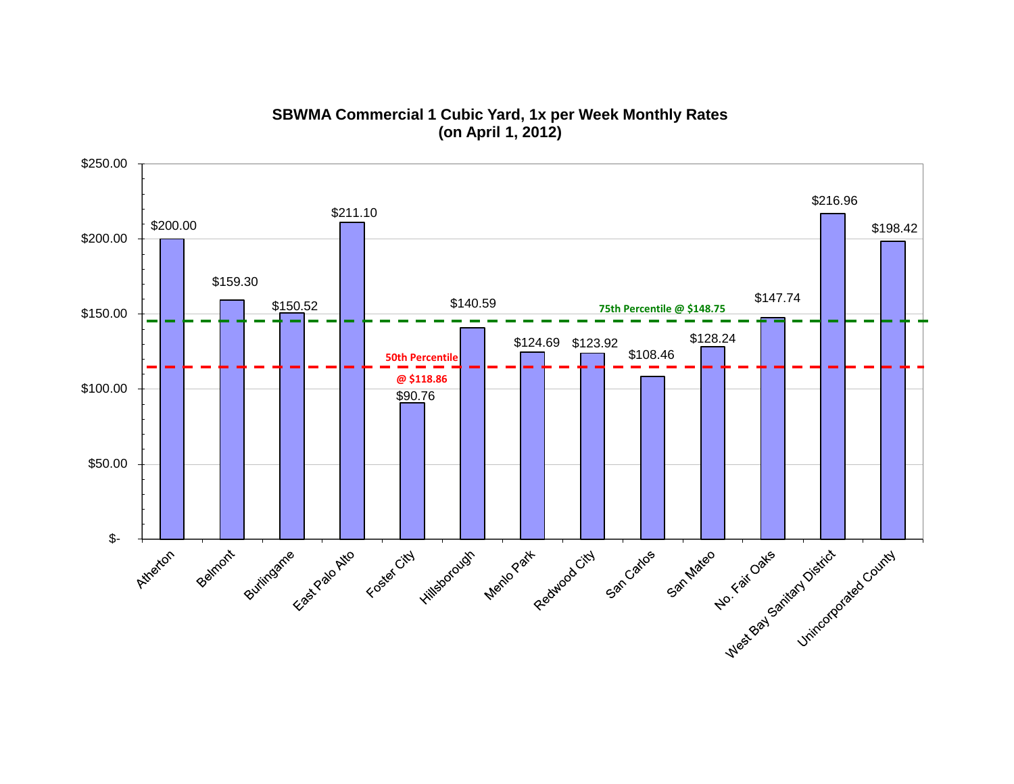**SBWMA Commercial 1 Cubic Yard, 1x per Week Monthly Rates (on April 1, 2012)**

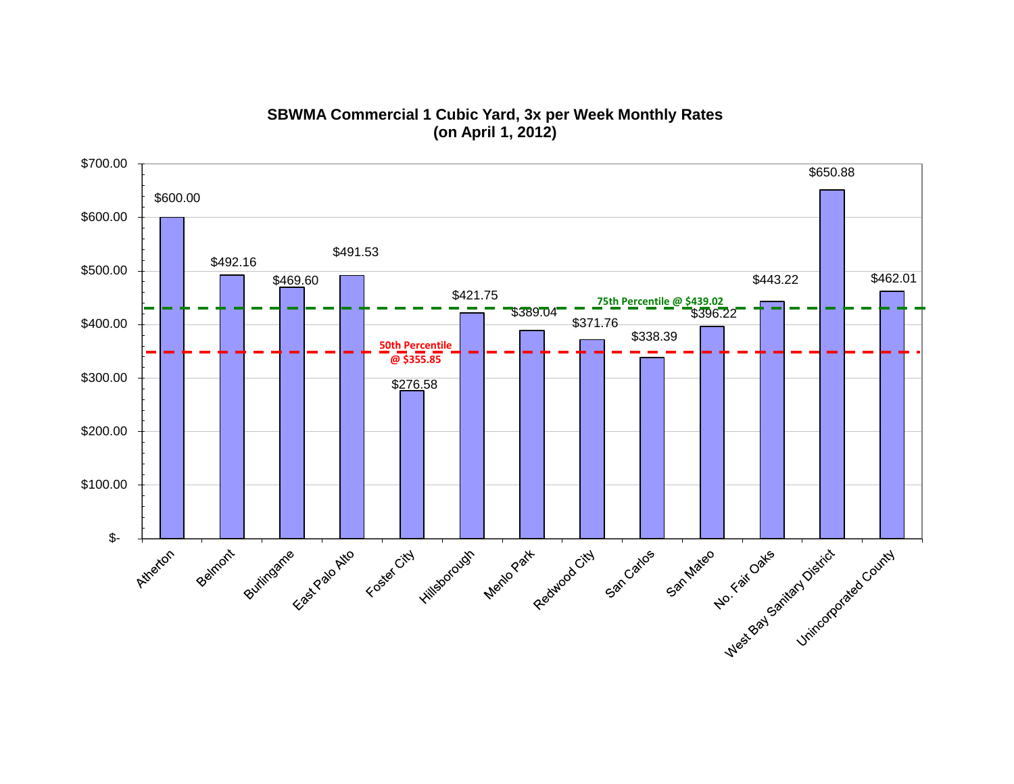# **SBWMA Commercial 1 Cubic Yard, 3x per Week Monthly Rates (on April 1, 2012)**

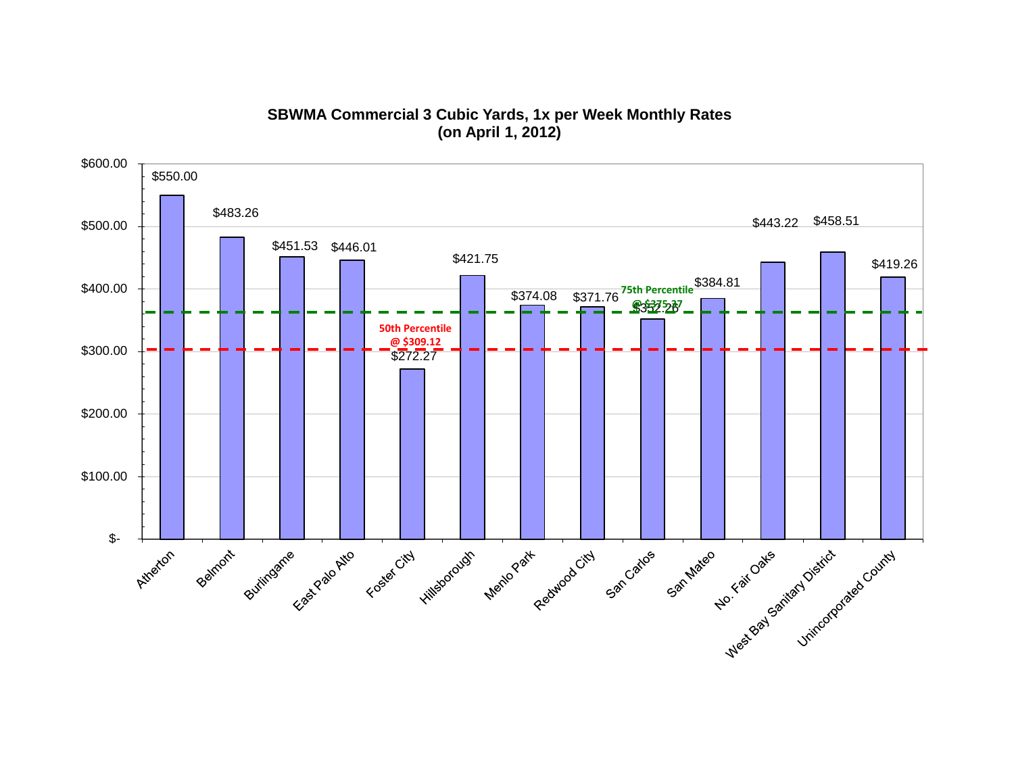# **SBWMA Commercial 3 Cubic Yards, 1x per Week Monthly Rates (on April 1, 2012)**